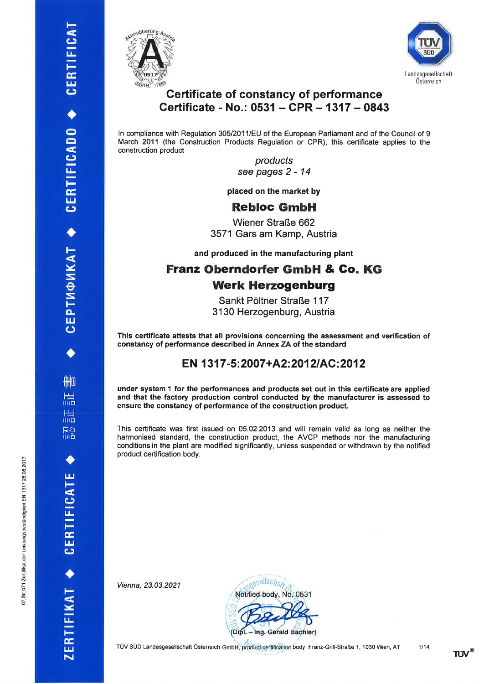**AHD** 

扁

扁 R2<br>lin

CERTIFICATE

ZERTIFIKAT +

CEPTM©MKAT ◆ CERTIFICADO ◆ CERTIFICAT





## **Certificate of constancy of performance** Certificate - No.: 0531 - CPR - 1317 - 0843

In compliance with Regulation 305/2011/EU of the European Parliament and of the Council of 9 March 2011 (the Construction Products Regulation or CPR), this certificate applies to the construction product

> products see pages 2 - 14

placed on the market by

# **Rebloc GmbH**

**Wiener Straße 662** 3571 Gars am Kamp, Austria

and produced in the manufacturing plant

# **Franz Oberndorfer GmbH & Co. KG Werk Herzogenburg**

Sankt Pöltner Straße 117 3130 Herzogenburg, Austria

This certificate attests that all provisions concerning the assessment and verification of constancy of performance described in Annex ZA of the standard

# EN 1317-5:2007+A2:2012/AC:2012

under system 1 for the performances and products set out in this certificate are applied and that the factory production control conducted by the manufacturer is assessed to ensure the constancy of performance of the construction product.

This certificate was first issued on 05.02.2013 and will remain valid as long as neither the harmonised standard, the construction product, the AVCP methods nor the manufacturing conditions in the plant are modified significantly, unless suspended or withdrawn by the notified product certification body.

Vienna, 23.03.2021



TÜV SÜD Landesgesellschaft Österreich GmbH, product certification body, Franz-Grill-Straße 1, 1030 Wien, AT

 $TUV^{\circledast}$ 

 $1/14$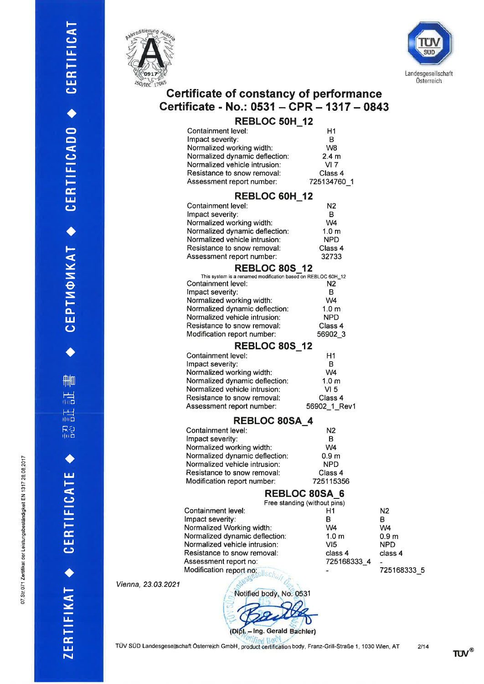.<br>⊡ o åndig

o71 Zertifikat der Leistungsbes

Ø. N o



t-

 $\mathbf \omega$ E F E l¿¡  $\mathbf{\mathsf{c}}$ 

 $\blacklozenge$ o o

 $\mathbf \circ$  $\mathbf{u}_\pm$ Ë É, l¿¡  $\mathbf \omega$ 

I

t-

i<br>NK  $\vec{e}$ S lo- $\overline{\mathbf{5}}$ 

 $\blacklozenge$ 

ftlm

r<br>Hil

r<br>alig

R2<br>llie

a

t¡Jt-

 $\mathbf{\mathsf{c}}$  $\mathbf{u}_-$ 

 $\frac{1}{2}$  $\mathbf \omega$ 

 $\blacklozenge$ 

F

 l¿-

 $\mathbf{r}$  $\mathbf{z}$ 



# Certificate of constancy of performance Certificate - No.: 0531 - CPR - 1317 - 0843

| <b>REBLOC 50H 12</b>           |                  |  |
|--------------------------------|------------------|--|
| Containment level:             | H1               |  |
| Impact severity:               | в                |  |
| Normalized working width:      | W <sub>8</sub>   |  |
| Normalized dynamic deflection: | 2.4 <sub>m</sub> |  |
| Normalized vehicle intrusion:  | $VI$ 7           |  |
| Resistance to snow removal:    | Class 4          |  |
| Assessment report number:      | 725134760 1      |  |

#### REBLOC 6OH-I2

| .                              |                  |
|--------------------------------|------------------|
| Containment level:             | N <sub>2</sub>   |
| Impact severity:               | B                |
| Normalized working width:      | W4               |
| Normalized dynamic deflection: | 1.0 <sub>m</sub> |
| Normalized vehicle intrusion:  | <b>NPD</b>       |
| Resistance to snow removal:    | Class 4          |
| Assessment report number:      | 32733            |
|                                |                  |

#### REBLOC 80S 12

| This system is a renamed modification based on REBLOC 60H_12 |                  |
|--------------------------------------------------------------|------------------|
| Containment level:                                           | N <sub>2</sub>   |
| Impact severity:                                             | в                |
| Normalized working width:                                    | W <sub>4</sub>   |
| Normalized dynamic deflection:                               | 1.0 <sub>m</sub> |
| Normalized vehicle intrusion:                                | <b>NPD</b>       |
| Resistance to snow removal:                                  | Class 4          |
| Modification report number:                                  | 56902 3          |
|                                                              |                  |

#### **REBLOC 80S 12**

| Containment level:             | H1               |
|--------------------------------|------------------|
| Impact severity:               | в                |
| Normalized working width:      | W <sub>4</sub>   |
| Normalized dynamic deflection: | 1.0 <sub>m</sub> |
| Normalized vehicle intrusion:  | VI <sub>5</sub>  |
| Resistance to snow removal:    | Class 4          |
| Assessment report number:      | 56902 1 Rev1     |

#### REBLOC 80SA\_4

| Containment level:             | N <sub>2</sub>   |
|--------------------------------|------------------|
| Impact severity:               | в                |
| Normalized working width:      | W <sub>4</sub>   |
| Normalized dynamic deflection: | 0.9 <sub>m</sub> |
| Normalized vehicle intrusion:  | <b>NPD</b>       |
| Resistance to snow removal:    | Class 4          |
| Modification report number:    | 725115356        |
|                                |                  |

#### REBLOC 80SA\_6

| Free standing (without pins)      |                  |                  |
|-----------------------------------|------------------|------------------|
| Containment level:                | Η1               | N2               |
| Impact severity:                  | в                | в                |
| Normalized Working width:         | W4               | W4               |
| Normalized dynamic deflection:    | 1.0 <sub>m</sub> | 0.9 <sub>m</sub> |
| Normalized vehicle intrusion:     | VI5              | <b>NPD</b>       |
| Resistance to snow removal:       | class 4          | class 4          |
| Assessment report no:             | 725168333 4      |                  |
| Modification report no: ellschare |                  | 725168333        |
|                                   |                  |                  |

Vienna, 23.03.2021

Notified body, No. 0531 (Dipl. - Ing. Gerald Bachler)  $-5$ 

TÜV SÜD Landesgesellschaft Österreich GmbH, product certification body, Franz-Grill-Straße 1, 1030 Wien, AT 2/14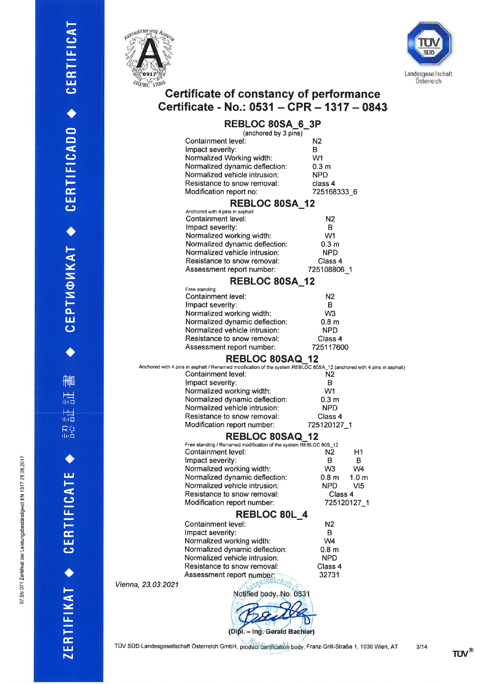

t-

 $\mathbf \omega$ l,¡- F É. t¿¡  $\mathbf \omega$ 

 $\blacklozenge$ o  $\Box$ 

 $\mathbf \omega$ l¡ trÉ,

t¿¡ (J

 $\blacklozenge$ 

l-

Y S  $\vec{e}$ S tot¡J ()

 $\blacklozenge$ 

ftil D

 $\frac{1}{100}$ 

 $\frac{1}{100}$ 

R2<br>Illia

 $\blacklozenge$ 

l¡¡ F

 $\mathbf$ L¡-

 $\mathbf{r}$  $\mathbf{g}$ 

 $\blacklozenge$ 

F

 l¿-

F- É,

 $\mathbb{E}$ 



# Certificate of constancy of performance Certificate - No.: 0531 - CPR - 1317 - 0843

# REBLOC SOSA-6-3P

|                    | <u> הט מעטר טעבורו</u><br>(anchored by 3 pins)                                                                                              |                      |
|--------------------|---------------------------------------------------------------------------------------------------------------------------------------------|----------------------|
|                    | Containment level:                                                                                                                          | N <sub>2</sub>       |
|                    | Impact severity:                                                                                                                            | B                    |
|                    | Normalized Working width:                                                                                                                   | W1                   |
|                    | Normalized dynamic deflection:                                                                                                              | 0.3 <sub>m</sub>     |
|                    | Normalized vehicle intrusion:                                                                                                               | <b>NPD</b>           |
|                    | Resistance to snow removal:                                                                                                                 | class 4              |
|                    | Modification report no:                                                                                                                     | 725168333_6          |
|                    | REBLOC 80SA_12                                                                                                                              |                      |
|                    | Anchored with 4 pins in asphalt                                                                                                             |                      |
|                    | Containment level:                                                                                                                          | N2                   |
|                    | Impact severity:                                                                                                                            | В                    |
|                    | Normalized working width:                                                                                                                   | W <sub>1</sub>       |
|                    | Normalized dynamic deflection:                                                                                                              | 0.3 <sub>m</sub>     |
|                    | Normalized vehicle intrusion:                                                                                                               | <b>NPD</b>           |
|                    | Resistance to snow removal:                                                                                                                 | Class 4              |
|                    | Assessment report number:                                                                                                                   | 725108806_1          |
|                    | <b>REBLOC 80SA 12</b>                                                                                                                       |                      |
|                    | Free standing                                                                                                                               |                      |
|                    | Containment level:                                                                                                                          | N2                   |
|                    | Impact severity:                                                                                                                            | в                    |
|                    | Normalized working width:                                                                                                                   | W <sub>3</sub>       |
|                    | Normalized dynamic deflection:                                                                                                              | 0.8 <sub>m</sub>     |
|                    | Normalized vehicle intrusion:<br>Resistance to snow removal:                                                                                | NPD<br>Class 4       |
|                    |                                                                                                                                             | 725117600            |
|                    | Assessment report number:                                                                                                                   |                      |
|                    | <b>REBLOC 80SAQ 12</b>                                                                                                                      |                      |
|                    | Anchored with 4 pins in asphalt / Renamed modification of the system REBLOC 80SA_12 (anchored with 4 pins in asphalt)<br>Containment level: | N2                   |
|                    | Impact severity:                                                                                                                            | B                    |
|                    | Normalized working width:                                                                                                                   | W1                   |
|                    | Normalized dynamic deflection:                                                                                                              | 0.3 <sub>m</sub>     |
|                    | Normalized vehicle intrusion:                                                                                                               | <b>NPD</b>           |
|                    | Resistance to snow removal:                                                                                                                 | Class 4              |
|                    | Modification report number:                                                                                                                 | 725120127_1          |
|                    | <b>REBLOC 80SAQ</b>                                                                                                                         | -12                  |
|                    | Free standing / Renamed modification of the system REBLOC 80S_12                                                                            |                      |
|                    | Containment level:                                                                                                                          | N2<br>H1             |
|                    | Impact severity:                                                                                                                            | в<br>В               |
|                    | Normalized working width:                                                                                                                   | W3<br>W <sub>4</sub> |
|                    | Normalized dynamic deflection:                                                                                                              | 0.8 m<br>1.0 m       |
|                    | Normalized vehicle intrusion:                                                                                                               | <b>NPD</b><br>VI5    |
|                    | Resistance to snow removal:                                                                                                                 | Class 4              |
|                    | Modification report number:                                                                                                                 | 725120127_1          |
|                    | <b>REBLOC 80L 4</b>                                                                                                                         |                      |
|                    | Containment level:                                                                                                                          | N <sub>2</sub>       |
|                    | Impact severity:                                                                                                                            | В                    |
|                    | Normalized working width:                                                                                                                   | W4                   |
|                    | Normalized dynamic deflection:                                                                                                              | 0.8 <sub>m</sub>     |
|                    | Normalized vehicle intrusion:                                                                                                               | <b>NPD</b>           |
|                    | Resistance to snow removal:                                                                                                                 | Class 4              |
|                    | Assessment report number:                                                                                                                   | 32731                |
| Vienna, 23.03.2021 |                                                                                                                                             |                      |
|                    | Notified body, No. 0531                                                                                                                     |                      |
|                    |                                                                                                                                             |                      |
|                    |                                                                                                                                             |                      |
|                    |                                                                                                                                             |                      |
|                    | (Dipl. - Ing. Gerald Bachler)                                                                                                               |                      |

TÜV SÜD Landesgesellschaft Österreich GmbH, product certification body, Franz-Grill-Straße 1, 1030 Wien, AT 3/14

TUV<sup>®</sup>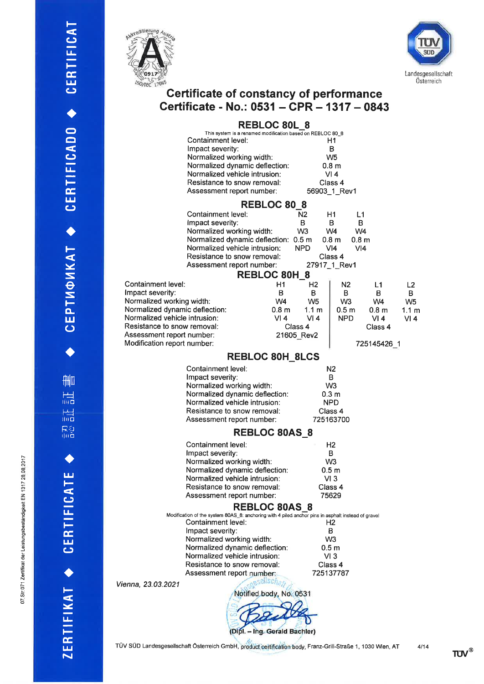

t-

 $\mathbf \omega$ lJ-

=E l¿¡  $\mathbf{\mathsf{c}}$ 

 $\blacklozenge$ o  $\overline{\bullet}$ 

 $\mathbf \omega$  $\mathbf{u}_\perp$ Ë E l¡J  $\mathbf \omega$ 

a

F-Y S  $\vec{\Theta}$ S F o-IJJ (J

 $\blacklozenge$ 

flill and the set of the set of the set of the set of the set of the set of the set of the set of the set of the set of the set of the set of the set of the set of the set of the set of the set of the set of the set of the

|<br>| ilid

 $\frac{1}{\ln d}$ 

ra<br>Ra

a

t¡J h-

CJ  $\mathbf{u}_-$ F i<br>Lu  $\mathbf \omega$ 

a

Vienna,

l-

- <u>іт</u>

ZER



# Certificate of constancy of performance Certificate - No.: 0531 – CPR – 1317 – 0843

|                                               | <b>REBLOC 80L 8</b><br>This system is a renamed modification based on REBLOC 80 8                  |                                            |                         |                         |                           |
|-----------------------------------------------|----------------------------------------------------------------------------------------------------|--------------------------------------------|-------------------------|-------------------------|---------------------------|
|                                               | Containment level:                                                                                 |                                            | H1                      |                         |                           |
|                                               | Impact severity:                                                                                   |                                            | в                       |                         |                           |
|                                               | Normalized working width:                                                                          |                                            | W <sub>5</sub>          |                         |                           |
|                                               | Normalized dynamic deflection:                                                                     |                                            | 0.8 <sub>m</sub>        |                         |                           |
|                                               | Normalized vehicle intrusion:                                                                      |                                            | VI4                     |                         |                           |
|                                               | Resistance to snow removal:                                                                        |                                            | Class 4                 |                         |                           |
|                                               | Assessment report number:                                                                          |                                            | 56903_1_Rev1            |                         |                           |
|                                               | <b>REBLOC 80 8</b>                                                                                 |                                            |                         |                         |                           |
|                                               | Containment level:                                                                                 | N2                                         | Η1                      | L1                      |                           |
|                                               | Impact severity:                                                                                   | В                                          | В                       | в                       |                           |
|                                               | Normalized working width:                                                                          | W <sub>3</sub>                             | W4                      | W4                      |                           |
|                                               | Normalized dynamic deflection: 0.5 m                                                               |                                            | 0.8 m                   | 0.8 <sub>m</sub>        |                           |
|                                               | Normalized vehicle intrusion:                                                                      | <b>NPD</b>                                 | VI4                     | VI4                     |                           |
|                                               | Resistance to snow removal:                                                                        |                                            | Class 4                 |                         |                           |
|                                               | Assessment report number:                                                                          |                                            | 27917_1_Rev1            |                         |                           |
|                                               | <b>REBLOC 80H 8</b>                                                                                |                                            |                         |                         |                           |
| Containment level:                            |                                                                                                    | H1<br>H <sub>2</sub>                       | N <sub>2</sub>          | L1                      | L2                        |
| Impact severity:<br>Normalized working width: |                                                                                                    | В<br>в<br>W <sub>4</sub><br>W <sub>5</sub> | в<br>W <sub>3</sub>     | в<br>W <sub>4</sub>     | В                         |
| Normalized dynamic deflection:                |                                                                                                    | 0.8 <sub>m</sub><br>1.1 $m$                | 0.5 <sub>m</sub>        |                         | W <sub>5</sub>            |
| Normalized vehicle intrusion:                 |                                                                                                    | VI 4<br>VI4                                | <b>NPD</b>              | 0.8 <sub>m</sub><br>VI4 | 1.1 <sub>m</sub><br>VI 4. |
| Resistance to snow removal:                   |                                                                                                    | Class 4                                    |                         | Class 4                 |                           |
| Assessment report number:                     |                                                                                                    | 21605 Rev2                                 |                         |                         |                           |
| Modification report number:                   |                                                                                                    |                                            |                         | 725145426 1             |                           |
|                                               | <b>REBLOC 80H 8LCS</b>                                                                             |                                            |                         |                         |                           |
|                                               |                                                                                                    |                                            |                         |                         |                           |
|                                               | Containment level:<br>Impact severity:                                                             |                                            | N2<br>в                 |                         |                           |
|                                               | Normalized working width:                                                                          |                                            | W <sub>3</sub>          |                         |                           |
|                                               | Normalized dynamic deflection:                                                                     |                                            | 0.3 <sub>m</sub>        |                         |                           |
|                                               | Normalized vehicle intrusion:                                                                      |                                            | <b>NPD</b>              |                         |                           |
|                                               | Resistance to snow removal:                                                                        |                                            | Class 4                 |                         |                           |
|                                               | Assessment report number:                                                                          |                                            | 725163700               |                         |                           |
|                                               | <b>REBLOC 80AS 8</b>                                                                               |                                            |                         |                         |                           |
|                                               | Containment level:                                                                                 |                                            | H <sub>2</sub>          |                         |                           |
|                                               | Impact severity:                                                                                   |                                            | в                       |                         |                           |
|                                               | Normalized working width:                                                                          |                                            | W <sub>3</sub>          |                         |                           |
|                                               | Normalized dynamic deflection:                                                                     |                                            | 0.5 <sub>m</sub>        |                         |                           |
|                                               | Normalized vehicle intrusion:                                                                      |                                            | VI3                     |                         |                           |
|                                               | Resistance to snow removal:                                                                        |                                            | Class 4                 |                         |                           |
|                                               | Assessment report number:                                                                          |                                            | 75629                   |                         |                           |
|                                               | <b>REBLOC 80AS 8</b>                                                                               |                                            |                         |                         |                           |
|                                               | Modification of the system 80AS_8: anchoring with 4 piled anchor pins in asphalt instead of gravel |                                            |                         |                         |                           |
|                                               | Containment level:                                                                                 |                                            | Н2                      |                         |                           |
|                                               | Impact severity:                                                                                   |                                            | B                       |                         |                           |
|                                               | Normalized working width:                                                                          |                                            | W <sub>3</sub>          |                         |                           |
|                                               | Normalized dynamic deflection:<br>Normalized vehicle intrusion:                                    |                                            | 0.5 <sub>m</sub><br>VI3 |                         |                           |
|                                               | Resistance to snow removal:                                                                        |                                            | Class 4                 |                         |                           |
|                                               | Assessment report number:                                                                          |                                            | 725137787               |                         |                           |
|                                               | $s$ ellsc $n_{\sigma}$                                                                             |                                            |                         |                         |                           |
| enna, 23.03.2021                              | Notified body, No. 0531                                                                            |                                            |                         |                         |                           |
|                                               |                                                                                                    |                                            |                         |                         |                           |
|                                               |                                                                                                    |                                            |                         |                         |                           |
|                                               | (Dipl. - Ing. Gerald Bachler)                                                                      |                                            |                         |                         |                           |

TÜV SÜD Landesgesellschaft Österreich GmbH, product certification body, Franz-Grill-Straße 1, 1030 Wien, AT 4/14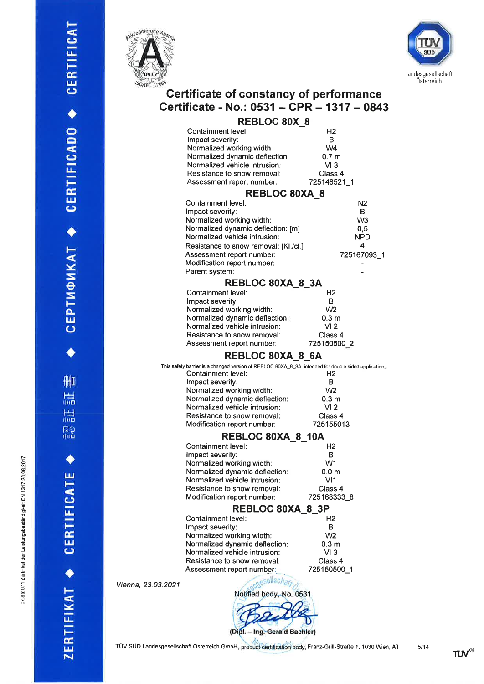$\blacklozenge$ 

AHO

 $\frac{1}{100}$ 

 $\frac{1}{100}$  $R_0^2$ 

CEPTMOMKAT ◆ CERTIFICADO ◆ CERTIFICAT





# Certificate of constancy of performance<br>Certificate - No.: 0531 - CPR - 1317 - 0843

| <b>REBLOC 80X 8</b>                                                                                                        |                        |  |
|----------------------------------------------------------------------------------------------------------------------------|------------------------|--|
| Containment level:                                                                                                         | Н2                     |  |
| Impact severity:                                                                                                           | B                      |  |
| Normalized working width:                                                                                                  | W <sub>4</sub>         |  |
| Normalized dynamic deflection:<br>Normalized vehicle intrusion:                                                            | 0.7 <sub>m</sub>       |  |
| Resistance to snow removal:                                                                                                | VI3<br>Class 4         |  |
| Assessment report number:                                                                                                  | 725148521_1            |  |
|                                                                                                                            |                        |  |
| <b>REBLOC 80XA 8</b>                                                                                                       |                        |  |
| Containment level:<br>Impact severity:                                                                                     | N2<br>B                |  |
| Normalized working width:                                                                                                  | W <sub>3</sub>         |  |
| Normalized dynamic deflection: [m]                                                                                         | 0,5                    |  |
| Normalized vehicle intrusion:                                                                                              | NPD                    |  |
| Resistance to snow removal: [KI./cl.]                                                                                      | 4                      |  |
| Assessment report number:                                                                                                  | 725167093 1            |  |
| Modification report number:                                                                                                |                        |  |
| Parent system:                                                                                                             |                        |  |
| REBLOC 80XA_8_3A                                                                                                           |                        |  |
| <b>Containment level:</b>                                                                                                  | H2                     |  |
| Impact severity:                                                                                                           | в                      |  |
| Normalized working width:                                                                                                  | W <sub>2</sub>         |  |
| Normalized dynamic deflection:                                                                                             | 0.3 <sub>m</sub>       |  |
| Normalized vehicle intrusion:                                                                                              | VI <sub>2</sub>        |  |
| Resistance to snow removal:                                                                                                | Class 4<br>725150500_2 |  |
| Assessment report number:                                                                                                  |                        |  |
| REBLOC 80XA 8 6A                                                                                                           |                        |  |
| This safety barrier is a changed version of REBLOC 80XA_8_3A, intended for double sided application.<br>Containment level: | H2                     |  |
| Impact severity:                                                                                                           | B                      |  |
| Normalized working width:                                                                                                  | W <sub>2</sub>         |  |
| Normalized dynamic deflection:                                                                                             | 0.3 <sub>m</sub>       |  |
| Normalized vehicle intrusion:                                                                                              | VI <sub>2</sub>        |  |
| Resistance to snow removal:                                                                                                | Class 4                |  |
| Modification report number:                                                                                                | 725155013              |  |
| REBLOC 80XA 8 10A                                                                                                          |                        |  |
| Containment level:                                                                                                         | H <sub>2</sub>         |  |
| Impact severity:                                                                                                           | в                      |  |
| Normalized working width:                                                                                                  | W1                     |  |
| Normalized dynamic deflection:<br>Normalized vehicle intrusion:                                                            | 0.0 m<br>VI1           |  |
| Resistance to snow removal:                                                                                                | Class 4                |  |
| Modification report number:                                                                                                | 725168333_8            |  |
| <b>REBLOC 80XA 8 3P</b>                                                                                                    |                        |  |
| Containment level:                                                                                                         | H2                     |  |
| Impact severity:                                                                                                           | в                      |  |
| Normalized working width:                                                                                                  | W <sub>2</sub>         |  |
| Normalized dynamic deflection:                                                                                             | 0.3 <sub>m</sub>       |  |
| Normalized vehicle intrusion:                                                                                              | VI3                    |  |
| Resistance to snow removal:                                                                                                | Class 4                |  |
| Assessment report number:                                                                                                  | 725150500_1            |  |
| <sub>o</sub> sellsch<br>3.2021                                                                                             |                        |  |
| Notified body, No. 0531                                                                                                    |                        |  |
|                                                                                                                            |                        |  |
|                                                                                                                            |                        |  |

(Dipl. - Ing. Gerald Bachler)

Vienna, 23.03.

TÜV SÜD Landesgesellschaft Österreich GmbH, product certification body, Franz-Grill-Straße 1, 1030 Wien, AT

**TÜV®**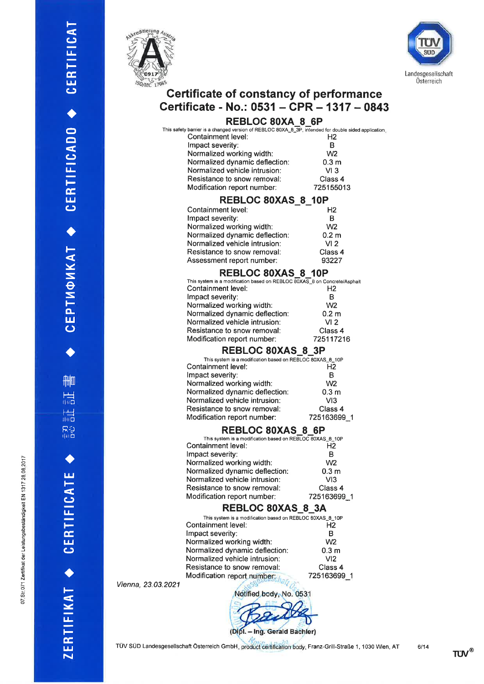N o ô,1 @o c; N N

ngsbeständigkeit EN 1

rat der Leis

071 Zer

Ø ño



1-

 $\mathbf \omega$  $\mathbf{u}_1$ Ë É, l¿J  $\mathsf{c}$ 

a o  $\Rightarrow$  $\tilde{\bm{\omega}}$ E

t-É, l¡J CJ

a

t-

Y S  $\vec{e}$ S F ot¡l  $\bm{\mathsf{\omega}}$ 

 $\blacklozenge$ 

flilm

r<br>llic

r<br>tin<mark>o</mark>

ra<br>Ra

a

t¿J l-

 $\mathbf \omega$  $\blacksquare$ 

F- É, t¿J  $\mathbf \omega$ 

 $\blacklozenge$ 

t-

 tÀ

 $Z$ ER



# Certificate of constancy of performance Certificate - No.: 0531 - CPR - 1317 - 0843

#### REBLOC SOXA 8 6P

| This safety barrier is a changed version of REBLOC 80XA_8_3P, intended for double sided application |                  |
|-----------------------------------------------------------------------------------------------------|------------------|
| Containment level:                                                                                  | H <sub>2</sub>   |
| Impact severity:                                                                                    |                  |
| Normalized working width:                                                                           | W <sub>2</sub>   |
| Normalized dynamic deflection:                                                                      | 0.3 <sub>m</sub> |
| Normalized vehicle intrusion:                                                                       | VI3              |
| Resistance to snow removal:                                                                         | Class 4          |
| Modification report number:                                                                         | 725155013        |
|                                                                                                     |                  |

## REBLOC 80XAS\_8\_10F

| Containment level:             | H <sub>2</sub>   |
|--------------------------------|------------------|
| Impact severity:               | в                |
| Normalized working width:      | W <sub>2</sub>   |
| Normalized dynamic deflection: | 0.2 <sub>m</sub> |
| Normalized vehicle intrusion:  | VI <sub>2</sub>  |
| Resistance to snow removal:    | Class 4          |
| Assessment report number:      | 93227            |
|                                |                  |

#### REBLOC 80XAS 8 10P

| This system is a modification based on REBLOC $\overline{80}$ XAS $\overline{8}$ on Concrete/Asphalt |                  |
|------------------------------------------------------------------------------------------------------|------------------|
| Containment level:                                                                                   | H <sub>2</sub>   |
| Impact severity:                                                                                     | в                |
| Normalized working width:                                                                            | W <sub>2</sub>   |
| Normalized dynamic deflection:                                                                       | 0.2 <sub>m</sub> |
| Normalized vehicle intrusion:                                                                        | VI <sub>2</sub>  |
| Resistance to snow removal:                                                                          | Class 4          |
| Modification report number:                                                                          | 725117216        |
|                                                                                                      |                  |

#### REBLOC 80XAS 8 3P

| This system is a modification based on REBLOC 80XAS_8_10P |                  |
|-----------------------------------------------------------|------------------|
| Containment level:                                        | H <sub>2</sub>   |
| Impact severity:                                          | в                |
| Normalized working width:                                 | W <sub>2</sub>   |
| Normalized dynamic deflection:                            | 0.3 <sub>m</sub> |
| Normalized vehicle intrusion:                             | VI3              |
| Resistance to snow removal:                               | Class 4          |
| Modification report number:                               | 725163699        |
|                                                           |                  |

#### REBLOC 80XAS 8 6P

| This system is a modification based on REBLOC 80XAS 8 10P |                  |
|-----------------------------------------------------------|------------------|
| Containment level:                                        | Н2               |
| Impact severity:                                          | в                |
| Normalized working width:                                 | W <sub>2</sub>   |
| Normalized dynamic deflection:                            | 0.3 <sub>m</sub> |
| Normalized vehicle intrusion:                             | VI3              |
| Resistance to snow removal:                               | Class 4          |
| Modification report number:                               | 725163699<br>-1  |
|                                                           |                  |

#### REBLOC 80XAS 8 3A

| This system is a modification based on REBLOC 80XAS 8 10P<br>H <sub>2</sub> |
|-----------------------------------------------------------------------------|
|                                                                             |
|                                                                             |
| R                                                                           |
| W <sub>2</sub>                                                              |
| 0.3 <sub>m</sub>                                                            |
| VI <sub>2</sub>                                                             |
| Class 4                                                                     |
| 725163699<br>A                                                              |
|                                                                             |

Vienna, 23.03.2021

Notified body, No. 0531

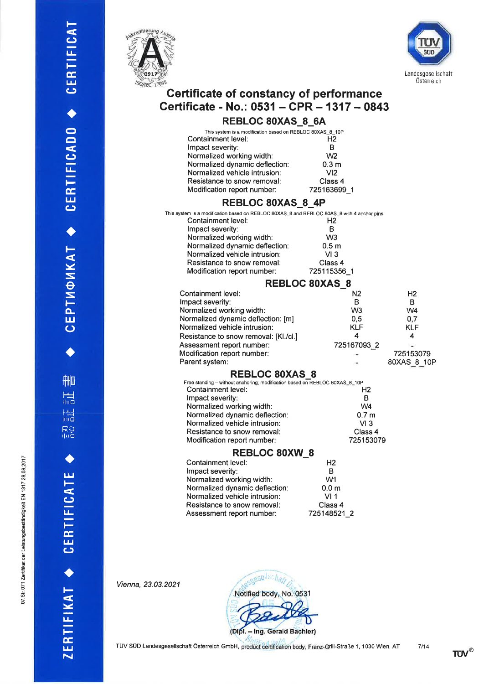`<br>⊡ indigkei

igsbest

at der Leisl

o71 Zertii

Ø ño



l-

 $\mathbf \omega$ l¡- Ë É, t¿¡  $\mathbf \omega$ 

a o  $\bar{\mathbf{\Omega}}$ 

 $\mathbf \omega$ l¿-

 $\frac{\alpha}{\Box}$  $\mathbf \omega$ 

 $\blacklozenge$ 

l-

Y S  $\vec{e}$ S to-لسا<br>ت

 $\blacklozenge$ 

f<del>il</del>l

<mark>rid</mark><br>Ind

r<br>lilo

rk<br>Flic

a

t¿J t-

 $\mathbf{\mathsf{c}}$  $\mathbf{u}_\perp$ 

E= t¿¡  $\mathbf \omega$ 

a

t-

 l¿- F E  $\mathbf{t}$ 



# Certificate of constancy of performance Certificate - No.: 0531 - CPR - 1317 - 0843

#### REBLOC 80XAS 8 6A

| This system is a modification based on REBLOC 80XAS_8_10P<br>Containment level:<br>Impact severity:<br>Normalized working width:<br>Normalized dynamic deflection:<br>Normalized vehicle intrusion:<br>Resistance to snow removal:<br>Modification report number:                                                                                                                                                                                                                                                                                                                 | Н2<br>в<br>W <sub>2</sub><br>0.3 <sub>m</sub><br>VI2<br>Class 4<br>725163699 1                                                                     |                                                                          |
|-----------------------------------------------------------------------------------------------------------------------------------------------------------------------------------------------------------------------------------------------------------------------------------------------------------------------------------------------------------------------------------------------------------------------------------------------------------------------------------------------------------------------------------------------------------------------------------|----------------------------------------------------------------------------------------------------------------------------------------------------|--------------------------------------------------------------------------|
| REBLOC 80XAS_8_4P                                                                                                                                                                                                                                                                                                                                                                                                                                                                                                                                                                 |                                                                                                                                                    |                                                                          |
| This system is a modification based on REBLOC 80XAS_8 and REBLOC 80AS_8 with 4 anchor pins<br>Containment level:<br>Impact severity:<br>Normalized working width:<br>Normalized dynamic deflection:<br>Normalized vehicle intrusion:<br>Resistance to snow removal:<br>Modification report number:                                                                                                                                                                                                                                                                                | H <sub>2</sub><br>B<br>W <sub>3</sub><br>0.5 <sub>m</sub><br>VI3<br>Class 4<br>725115356 1                                                         |                                                                          |
|                                                                                                                                                                                                                                                                                                                                                                                                                                                                                                                                                                                   | <b>REBLOC 80XAS 8</b>                                                                                                                              |                                                                          |
| Containment level:<br>Impact severity:<br>Normalized working width:<br>Normalized dynamic deflection: [m]<br>Normalized vehicle intrusion:<br>Resistance to snow removal: [KI./cl.]<br>Assessment report number:<br>Modification report number:<br>Parent system:<br><b>REBLOC 80XAS 8</b><br>Free standing - without anchoring; modification based on REBLOC 80XAS_8_10P<br>Containment level:<br>Impact severity:<br>Normalized working width:<br>Normalized dynamic deflection:<br>Normalized vehicle intrusion:<br>Resistance to snow removal:<br>Modification report number: | N2<br>в<br>W <sub>3</sub><br>0,5<br><b>KLF</b><br>4<br>725167093_2<br>H <sub>2</sub><br>в<br>W4<br>0.7 <sub>m</sub><br>VI3<br>Class 4<br>725153079 | H2<br>в<br>W4<br>0,7<br><b>KLF</b><br>4<br>Ξ<br>725153079<br>80XAS_8_10F |
| <b>REBLOC 80XW 8</b>                                                                                                                                                                                                                                                                                                                                                                                                                                                                                                                                                              |                                                                                                                                                    |                                                                          |
| Containment level:<br>Impact severity:<br>Normalized working width:<br>Normalized dynamic deflection:<br>Normalized vehicle intrusion:<br>Resistance to snow removal:<br>Assessment report number:                                                                                                                                                                                                                                                                                                                                                                                | H2<br>В<br>W1<br>0.0 <sub>m</sub><br>VI1<br>Class 4<br>725148521_2                                                                                 |                                                                          |

Vienna, 23.03.2021



TÜV SÜD Landesgesellschaft Österreich GmbH, product certification body, Franz-Grill-Straße 1, 1030 Wien, AT 7/14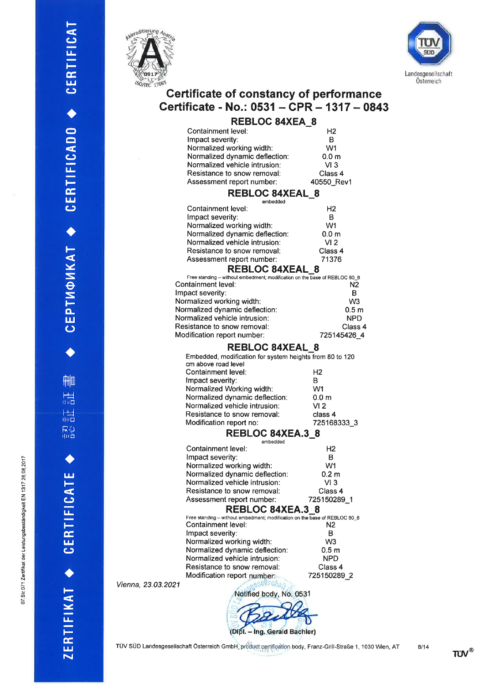**2017** 7 28.08

.<br>⊡

o .9o g

.071 Zertrikat der Leistungsbes

Ø. N o



t-

 $\mathbf \omega$ lJ-F E l¿J (J

t

o  $\blacksquare$ 

 $\bm{\mathsf{\omega}}$ lJ-F É,  $\mathbf{u}$ CJ

 $\blacklozenge$ 

t-- Y S  $\vec{\Theta}$ S ] o- $\mathbf{\overline{u}}$ 

 $\blacklozenge$ 

film

|<br>|ind

|<br>Filip

لاج<br>Trib

a

 $\frac{11}{1}$ 

 $\mathbf \omega$ l¡- F É l4¡  $\mathbf \omega$ 

 $\blacklozenge$ 

F

 l¿-

=E l¡l N



# Certificate of constancy of performance Certificate - No.: 0531 - CPR - 1317 - 0843

| <b>REBLOC 84XEA 8</b> |  |  |
|-----------------------|--|--|
| H <sub>2</sub>        |  |  |
| в                     |  |  |
| W <sub>1</sub>        |  |  |
| 0.0 <sub>m</sub>      |  |  |
| VI3                   |  |  |
| Class 4               |  |  |
| 40550 Rev             |  |  |
|                       |  |  |

#### REBLOC 84XEAL\_8

| embedded                       |                  |
|--------------------------------|------------------|
| Containment level:             | H <sub>2</sub>   |
| Impact severity:               | в                |
| Normalized working width:      | W1               |
| Normalized dynamic deflection: | 0.0 <sub>m</sub> |
| Normalized vehicle intrusion:  | VI <sub>2</sub>  |
| Resistance to snow removal:    | Class 4          |
| Assessment report number:      | 71376            |
| DEDI OC OAVEAI                 |                  |

| <b>REBLOC 84XEAL 8</b>                                                     |                  |  |
|----------------------------------------------------------------------------|------------------|--|
| Free standing - without embedment; modification on the base of REBLOC 80 8 |                  |  |
| Containment level:                                                         | N2               |  |
| Impact severity:                                                           | в                |  |
| Normalized working width:                                                  | W <sub>3</sub>   |  |
| Normalized dynamic deflection:                                             | 0.5 <sub>m</sub> |  |
| Normalized vehicle intrusion:                                              | <b>NPD</b>       |  |
| Resistance to snow removal:                                                | Class 4          |  |
| Modification report number:                                                | 725145426 4      |  |
|                                                                            |                  |  |

#### REBLOC 84XEAL\_8

| Embedded, modification for system heights from 80 to 120 |  |  |
|----------------------------------------------------------|--|--|
|                                                          |  |  |
| H <sub>2</sub>                                           |  |  |
| в                                                        |  |  |
| W1                                                       |  |  |
| 0.0 <sub>m</sub>                                         |  |  |
| VI 2                                                     |  |  |
| class 4                                                  |  |  |
| 725168333 3                                              |  |  |
|                                                          |  |  |

#### REBLOC 84XEA.3\_8

|         | embedded                                                                   |                  |  |
|---------|----------------------------------------------------------------------------|------------------|--|
|         | Containment level:                                                         | H2               |  |
|         | Impact severity:                                                           | в                |  |
|         | Normalized working width:                                                  | W1               |  |
|         | Normalized dynamic deflection:                                             | 0.2 <sub>m</sub> |  |
|         | Normalized vehicle intrusion:                                              | VI 3             |  |
|         | Resistance to snow removal:                                                | Class 4          |  |
|         | Assessment report number:                                                  | 725150289 1      |  |
|         | <b>REBLOC 84XEA.3 8</b>                                                    |                  |  |
|         | Free standing - without embedment; modification on the base of REBLOC 80_8 |                  |  |
|         | Containment level:                                                         | N <sub>2</sub>   |  |
|         | Impact severity:                                                           | в                |  |
|         | Normalized working width:                                                  | W3               |  |
|         | Normalized dynamic deflection:                                             | 0.5 <sub>m</sub> |  |
|         | Normalized vehicle intrusion:                                              | <b>NPD</b>       |  |
|         | Resistance to snow removal:                                                | Class 4          |  |
|         | Modification report number:                                                | 725150289 2      |  |
| 03.2021 |                                                                            |                  |  |

Vienna, 23.

Notified body, No. 0531

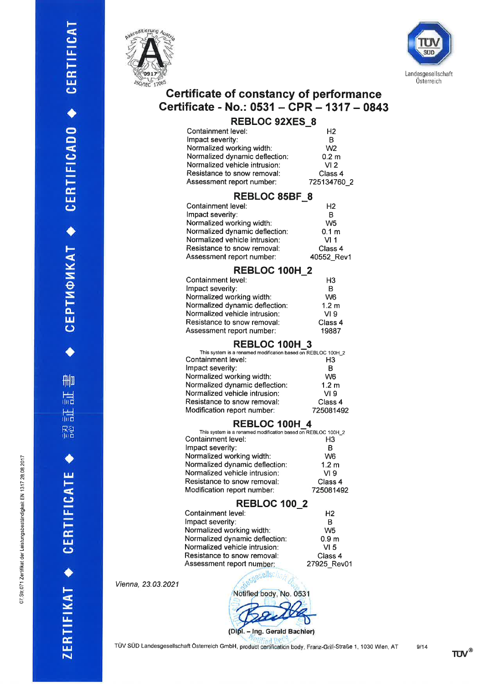CEPTMOMKAT ◆ CERTIFICADO ◆ CERTIFICAT

**AHIO** 

温

認証

CERTIFICATE

ZERTIFIKAT





# **Certificate of constancy of performance** Certificate - No.: 0531 - CPR - 1317 - 0843

## **REBLOC 92XES 8**

| Containment level:             | Н2               |
|--------------------------------|------------------|
| Impact severity:               | R                |
| Normalized working width:      | W <sub>2</sub>   |
| Normalized dynamic deflection: | 0.2 <sub>m</sub> |
| Normalized vehicle intrusion:  | VI <sub>2</sub>  |
| Resistance to snow removal:    | Class 4          |
| Assessment report number:      | 725134760 2      |

#### **REBLOC 85BF 8**

| Containment level:             | H <sub>2</sub>   |
|--------------------------------|------------------|
| Impact severity:               | в                |
| Normalized working width:      | W <sub>5</sub>   |
| Normalized dynamic deflection: | 0.1 <sub>m</sub> |
| Normalized vehicle intrusion:  | VI 1             |
| Resistance to snow removal:    | Class 4          |
| Assessment report number:      | 40552 Rev1       |

## REBLOC 100H 2

| Containment level:             | H <sub>3</sub>   |
|--------------------------------|------------------|
| mpact severity:                | в                |
| Vormalized working width:      | W <sub>6</sub>   |
| Normalized dynamic deflection: | 1.2 <sub>m</sub> |
| Normalized vehicle intrusion:  | VI <sub>9</sub>  |
| Resistance to snow removal:    | Class 4          |
| Assessment report number:      | 19887            |

#### REBLOC 100H 3

| This system is a renamed modification based on REBLOC 100H_2 |                  |
|--------------------------------------------------------------|------------------|
| Containment level:                                           | H3               |
| mpact severity:                                              | в                |
| Normalized working width:                                    | W <sub>6</sub>   |
| Normalized dynamic deflection:                               | 1.2 <sub>m</sub> |
| Normalized vehicle intrusion:                                | VI <sub>9</sub>  |
| Resistance to snow removal:                                  | Class 4          |
| Modification report number:                                  | 725081492        |
|                                                              |                  |

#### REBLOC 100H 4

| This system is a renamed modification based on REBLOC 100H_2 |                  |
|--------------------------------------------------------------|------------------|
| Containment level:                                           | H3               |
| Impact severity:                                             | в                |
| Normalized working width:                                    | W <sub>6</sub>   |
| Normalized dynamic deflection:                               | 1.2 <sub>m</sub> |
| Normalized vehicle intrusion:                                | VI <sub>9</sub>  |
| Resistance to snow removal:                                  | Class 4          |
| Modification report number:                                  | 725081492        |

#### **REBLOC 100\_2**

| Containment level:             | H <sub>2</sub>   |
|--------------------------------|------------------|
| Impact severity:               | B                |
| Normalized working width:      | W <sub>5</sub>   |
| Normalized dynamic deflection: | 0.9 <sub>m</sub> |
| Normalized vehicle intrusion:  | VI <sub>5</sub>  |
| Resistance to snow removal:    | Class 4          |
| Assessment report number:      | 27925 Rev01      |

Vienna, 23.03.2021

ľ

> asyssellsch Notified body, No. 0531 (Dipl. - Ing. Gerald Bachler)

TÜV SÜD Landesgesellschaft Österreich GmbH, product certification body, Franz-Grill-Straße 1, 1030 Wien, AT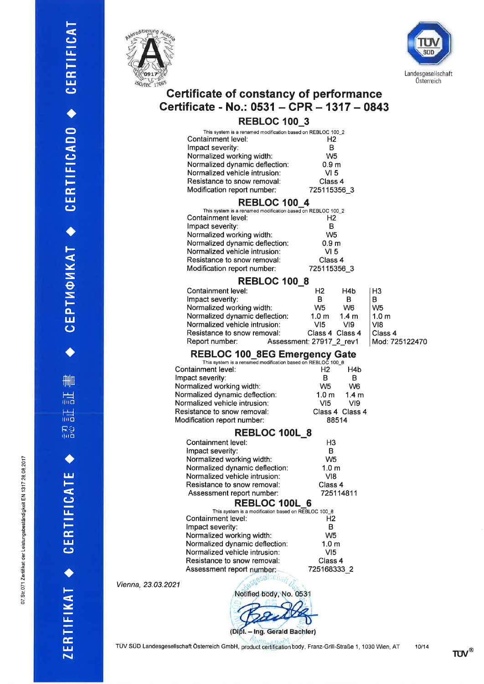N oq 7 28 08

.<br>W

tändigkei oþ eistungs

071 Zertifikat der

Ø. N



F

 $\mathbf \omega$ E

t-É, t¿¡  $\mathbf \omega$ 

 $\blacklozenge$ 

 $\bigcirc$  $\bar{\mathbf{\Theta}}$ 

 $\mathbf \omega$ lJ-F E t¿¡ (J

I

l-

Y S  $\vec{e}$ S to-  $\mathbf{J}$ 

 $\ddot{\bullet}$ 

fllm

r<br>Till

r<br>lilo

l-Á-J rlilo

 $\blacklozenge$ 

t¿¡ F

(J lJ-

 $\frac{1}{2}$  $\overline{\mathbf{5}}$ 

 $\blacklozenge$ 

l-

 lJ-F E llJ  $\overline{\phantom{a}}$ 



# Gertificate of constancy of performance Certificate - No.: 0531 - CPR - 1317 - 0843

# REBLOC 100\_3

| This system is a renamed modification based on REBLOC 100_2<br>Containment level:<br>Impact severity:<br>Normalized working width:<br>Normalized dynamic deflection:<br>Normalized vehicle intrusion:<br>Resistance to snow removal:<br>Modification report number: | H2<br>B<br>W <sub>5</sub><br>0.9 m<br>VI 5<br>Class 4<br>725115356_3 |  |
|---------------------------------------------------------------------------------------------------------------------------------------------------------------------------------------------------------------------------------------------------------------------|----------------------------------------------------------------------|--|
| <b>REBLOC 100 4</b><br>This system is a renamed modification based on REBLOC 100_2                                                                                                                                                                                  |                                                                      |  |
| Containment level:                                                                                                                                                                                                                                                  | Н2                                                                   |  |
|                                                                                                                                                                                                                                                                     | в                                                                    |  |
| Impact severity:                                                                                                                                                                                                                                                    | W5                                                                   |  |
| Normalized working width:                                                                                                                                                                                                                                           |                                                                      |  |
| Normalized dynamic deflection:                                                                                                                                                                                                                                      | 0.9 m                                                                |  |
| Normalized vehicle intrusion:                                                                                                                                                                                                                                       | VI 5                                                                 |  |
| Resistance to snow removal:                                                                                                                                                                                                                                         | Class 4                                                              |  |
| Modification report number:                                                                                                                                                                                                                                         | 725115356 3                                                          |  |
| <b>REBLOC 100 8</b>                                                                                                                                                                                                                                                 |                                                                      |  |
| Containment level:                                                                                                                                                                                                                                                  | Н2<br>H4b                                                            |  |
| Impact severity:                                                                                                                                                                                                                                                    | B<br>в                                                               |  |
| Normalized working width:                                                                                                                                                                                                                                           | W <sub>5</sub><br>W <sub>6</sub>                                     |  |
| Normalized dynamic deflection:                                                                                                                                                                                                                                      | 1.0 m<br>1.4 m                                                       |  |
| Normalized vehicle intrusion:                                                                                                                                                                                                                                       | VI5<br>VI9                                                           |  |
| Resistance to snow removal:                                                                                                                                                                                                                                         | Class 4 Class 4                                                      |  |
| Report number:                                                                                                                                                                                                                                                      | Assessment: 27917_2_rev1                                             |  |
| <b>REBLOC 100_8EG Emergency Gate</b>                                                                                                                                                                                                                                |                                                                      |  |
| This system is a renamed modification based on REBLOC 100 8                                                                                                                                                                                                         |                                                                      |  |
| Containment level:                                                                                                                                                                                                                                                  | Н2<br>H4b                                                            |  |
| Impact severity:                                                                                                                                                                                                                                                    | в<br>в                                                               |  |
| Normalized working width:                                                                                                                                                                                                                                           | W5<br>W <sub>6</sub>                                                 |  |
| Normalized dynamic deflection:                                                                                                                                                                                                                                      | 1.0 <sub>m</sub><br>1.4 <sub>m</sub>                                 |  |
| Normalized vehicle intrusion:                                                                                                                                                                                                                                       | VI5<br>VI9                                                           |  |
| Resistance to snow removal:                                                                                                                                                                                                                                         | Class 4 Class 4                                                      |  |
| Modification report number:                                                                                                                                                                                                                                         | 88514                                                                |  |
| <b>REBLOC 100L 8</b>                                                                                                                                                                                                                                                |                                                                      |  |
| Containment level:                                                                                                                                                                                                                                                  | H3                                                                   |  |
| Impact severity:                                                                                                                                                                                                                                                    | в                                                                    |  |
| Normalized working width:                                                                                                                                                                                                                                           | W5                                                                   |  |
| Normalized dynamic deflection:                                                                                                                                                                                                                                      | 1.0 <sub>m</sub>                                                     |  |
| Normalized vehicle intrusion:                                                                                                                                                                                                                                       | VI8                                                                  |  |
| Resistance to snow removal:                                                                                                                                                                                                                                         | Class 4                                                              |  |
| Assessment report number:                                                                                                                                                                                                                                           | 725114811                                                            |  |
| REBLOC 100L 6                                                                                                                                                                                                                                                       |                                                                      |  |
| This system is a modification based on REBLOC 100 8                                                                                                                                                                                                                 |                                                                      |  |
| Containment level:                                                                                                                                                                                                                                                  | Н2                                                                   |  |
| Impact severity:                                                                                                                                                                                                                                                    | B                                                                    |  |
| Normalized working width:                                                                                                                                                                                                                                           | W <sub>5</sub>                                                       |  |
| Normalized dynamic deflection:                                                                                                                                                                                                                                      | 1.0 <sub>m</sub>                                                     |  |
| Normalized vehicle intrusion:                                                                                                                                                                                                                                       | VI5                                                                  |  |
| Resistance to snow removal:                                                                                                                                                                                                                                         | Class 4                                                              |  |
| Assessment report number:                                                                                                                                                                                                                                           | 725168333 2                                                          |  |
|                                                                                                                                                                                                                                                                     |                                                                      |  |
| 121                                                                                                                                                                                                                                                                 |                                                                      |  |
| Notified body, No. 0531                                                                                                                                                                                                                                             |                                                                      |  |
|                                                                                                                                                                                                                                                                     |                                                                      |  |
|                                                                                                                                                                                                                                                                     |                                                                      |  |

H3 B W5 1.0 m  $V18$ Class 4

Mod:725122470

| <b>REBLOC 1001</b>                     |
|----------------------------------------|
| This system is a modification based on |
| Containment level:                     |
| Impact severity:                       |
| Normalized working width:              |
| Normalized dynamic deflection:         |
| Normalized vehicle intrusion:          |
| Doniatonan ta angus ramayali           |

Vienna, 23.03.20



TÜV SÜD Landesgesellschaft Österreich GmbH, product certification body, Franz-Grill-Straße 1, 1030 Wien, AT

10/14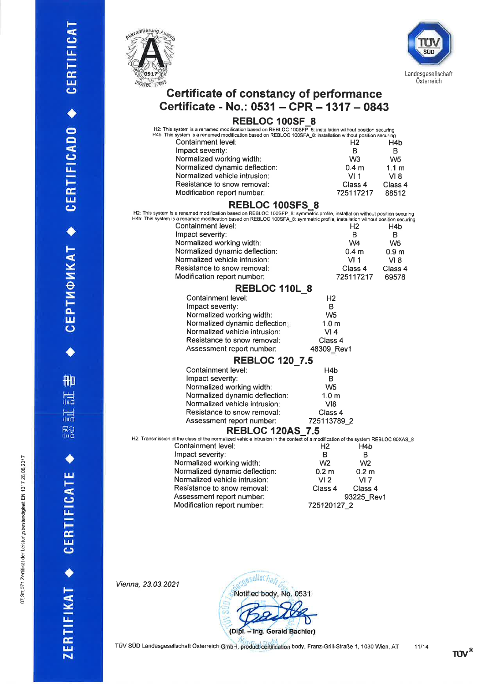CEPTMOMKAT ◆ CERTIFICADO ◆ CERTIFICAT

 $\bullet$ 

**THIO** 

温

認証

CERTIFICATE +

ZERTIFIKAT +

indigkeit EN 1

sbest

cat der Leistungs

o71 Zerti

Ø. N o





# Certificate of constancy of performance Certificate - No.: 0531 - CPR - 1317 - 0843

## REBLOC 100SF\_8

| H2: This system is a renamed modification based on REBLOC 100SFP_8: installation without position securing                    |                  |                  |
|-------------------------------------------------------------------------------------------------------------------------------|------------------|------------------|
| H4b: This system is a renamed modification based on REBLOC 100SFA_8: installation without position securing                   |                  |                  |
| Containment level:                                                                                                            | H <sub>2</sub>   | H4b              |
| Impact severity:                                                                                                              | в                | в                |
| Normalized working width:                                                                                                     | W <sub>3</sub>   | W5               |
| Normalized dynamic deflection:                                                                                                | 0.4 <sub>m</sub> | 1.1 <sub>m</sub> |
| Normalized vehicle intrusion:                                                                                                 | VI 1             | VI 8             |
| Resistance to snow removal:                                                                                                   | Class 4          | Class 4          |
| Modification report number:                                                                                                   | 725117217        | 88512            |
| <b>REBLOC 100SFS 8</b>                                                                                                        |                  |                  |
| H2: This system is a renamed modification based on REBLOC 100SFP_8: symmetric profile, installation without position securing |                  |                  |

| red the operative a renamed modification based on REDEOO T000FT_0. symmetric prome, matemation without position securing<br>H4b: This system is a renamed modification based on REBLOC 100SFA_8: symmetric profile, installation without position securing |                     |                  |                  |
|------------------------------------------------------------------------------------------------------------------------------------------------------------------------------------------------------------------------------------------------------------|---------------------|------------------|------------------|
| Containment level:                                                                                                                                                                                                                                         |                     | H <sub>2</sub>   | H4b              |
| Impact severity:                                                                                                                                                                                                                                           |                     | B                | B                |
| Normalized working width:                                                                                                                                                                                                                                  |                     | W4               | W <sub>5</sub>   |
| Normalized dynamic deflection:                                                                                                                                                                                                                             |                     | 0.4 <sub>m</sub> | 0.9 <sub>m</sub> |
| Normalized vehicle intrusion:                                                                                                                                                                                                                              |                     | VI1              | VI 8             |
| Resistance to snow removal:                                                                                                                                                                                                                                |                     | Class 4          | Class 4          |
| Modification report number:                                                                                                                                                                                                                                |                     | 725117217        | 69578            |
| REBLOC 110L 8                                                                                                                                                                                                                                              |                     |                  |                  |
| Containment level:                                                                                                                                                                                                                                         | H <sub>2</sub>      |                  |                  |
| Impact severity:                                                                                                                                                                                                                                           | B                   |                  |                  |
| Normalized working width:                                                                                                                                                                                                                                  | W <sub>5</sub>      |                  |                  |
| Normalized dynamic deflection:                                                                                                                                                                                                                             | 1.0 <sub>m</sub>    |                  |                  |
| Normalized vehicle intrusion:                                                                                                                                                                                                                              | VI4                 |                  |                  |
| Resistance to snow removal:                                                                                                                                                                                                                                | Class 4             |                  |                  |
| Assessment report number:                                                                                                                                                                                                                                  | 48309_Rev1          |                  |                  |
| <b>REBLOC 120 7.5</b>                                                                                                                                                                                                                                      |                     |                  |                  |
| Containment level:                                                                                                                                                                                                                                         | H4b                 |                  |                  |
| Impact severity:                                                                                                                                                                                                                                           | B                   |                  |                  |
| Normalized working width:                                                                                                                                                                                                                                  | W <sub>5</sub>      |                  |                  |
| Normalized dynamic deflection:                                                                                                                                                                                                                             | $1,0 \; \mathrm{m}$ |                  |                  |
| Normalized vehicle intrusion:                                                                                                                                                                                                                              | V18                 |                  |                  |
| Resistance to snow removal:                                                                                                                                                                                                                                | Class 4             |                  |                  |
| Assessment report number:                                                                                                                                                                                                                                  | 725113789 2         |                  |                  |
| <b>REBLOC 120AS 7.5</b>                                                                                                                                                                                                                                    |                     |                  |                  |
| H2: Transmission of the class of the normalized vehicle intrusion in the context of a modification of the system REBLOC 80XAS_8                                                                                                                            |                     |                  |                  |
| Containment level:                                                                                                                                                                                                                                         | Н2                  | H4b              |                  |
| Impact severity:                                                                                                                                                                                                                                           | в                   | В                |                  |
| Normalized working width:                                                                                                                                                                                                                                  | W <sub>2</sub>      | W <sub>2</sub>   |                  |
| Normalized dynamic deflection:                                                                                                                                                                                                                             | 0.2 <sub>m</sub>    | 0.2 <sub>m</sub> |                  |
| Normalized vehicle intrusion:                                                                                                                                                                                                                              | VI <sub>2</sub>     | VI <sub>7</sub>  |                  |
| Resistance to snow removal:                                                                                                                                                                                                                                | Class 4             | Class 4          |                  |
| Assessment report number:                                                                                                                                                                                                                                  |                     | 93225 Rev1       |                  |
| Modification report number:                                                                                                                                                                                                                                | 725120127 2         |                  |                  |

Vienna, 23.03.2021

cuesellschaft Notified body, No. 0531 (Dipl. - Ing. Gerald Bachler)

TÜV SÜD Landesgesellschaft Österreich GmbH, product certification body, Franz-Grill-Straße 1, 1030 Wien, AT 11/14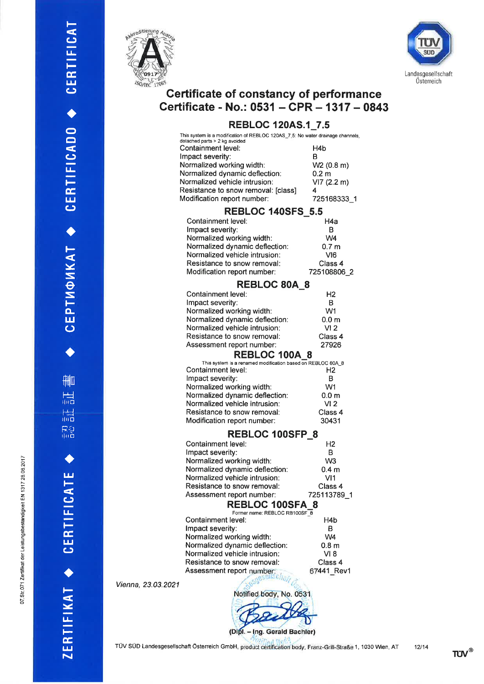sbeständigkeit EN 1

c J

at der Lei

07 Str 071 Zertii



t-

 $\mathbf \omega$ E

t-Ê, t¿¡  $\mathbf \omega$ 

t

o  $\Box$  $\tilde{\bm{c}}$ lJ-F Ë, l¿J (J

 $\blacklozenge$ 

l-<u>V</u> S  $\vec{\Theta}$ S tou<br>U

 $\blacklozenge$ 

film

|<br>ilid

r<br>Ilid

R2<br>Tilb

 $\blacklozenge$ 

t¿¡ F

(J  $\mathbf{u}_\pm$ F É. t¿¡  $\mathbf{\mathsf{c}}$ 

a

t-

 lJ-F

**ZE** 



# Gertificate of constancy of performance Certificate - No.: 0531 - CPR - 1317 - 0843

## REBLOC 120AS.1\_7.5

|    | This system is a modification of REBLOC 120AS_7.5: No water drainage channels,      |                           |
|----|-------------------------------------------------------------------------------------|---------------------------|
|    | detached parts > 2 kg avoided<br>Containment level:                                 | H4b                       |
|    | Impact severity:                                                                    | в                         |
|    | Normalized working width:                                                           | W2 (0.8 m)                |
|    | Normalized dynamic deflection:                                                      | 0.2 <sub>m</sub>          |
|    | Normalized vehicle intrusion:                                                       | VI7(2.2 m)                |
|    | Resistance to snow removal: [class]                                                 | 4                         |
|    | Modification report number:                                                         | 725168333 1               |
|    | <b>REBLOC 140SFS 5.5</b>                                                            |                           |
|    | Containment level:                                                                  | H4a                       |
|    | Impact severity:                                                                    | в                         |
|    | Normalized working width:                                                           | W4                        |
|    | Normalized dynamic deflection:                                                      | 0.7 <sub>m</sub>          |
|    | Normalized vehicle intrusion:                                                       | VI6                       |
|    | Resistance to snow removal:                                                         | Class 4                   |
|    | Modification report number:                                                         | 725108806_2               |
|    |                                                                                     |                           |
|    | <b>REBLOC 80A 8</b>                                                                 |                           |
|    | Containment level:                                                                  | Η2                        |
|    | Impact severity:                                                                    | В                         |
|    | Normalized working width:                                                           | W1                        |
|    | Normalized dynamic deflection:                                                      | 0.0 m                     |
|    | Normalized vehicle intrusion:<br>Resistance to snow removal:                        | VI <sub>2</sub>           |
|    |                                                                                     | Class 4                   |
|    | Assessment report number:                                                           | 27926                     |
|    | <b>REBLOC 100A 8</b><br>This system is a renamed modification based on REBLOC 80A_8 |                           |
|    | Containment level:                                                                  | H2                        |
|    | Impact severity:                                                                    | в                         |
|    | Normalized working width:                                                           | W1                        |
|    | Normalized dynamic deflection:                                                      | 0.0 m                     |
|    | Normalized vehicle intrusion:                                                       | VI <sub>2</sub>           |
|    | Resistance to snow removal:                                                         | Class 4                   |
|    | Modification report number:                                                         | 30431                     |
|    | <b>REBLOC 100SFP 8</b>                                                              |                           |
|    | Containment level:                                                                  | Н2                        |
|    | Impact severity:                                                                    | в                         |
|    | Normalized working width:                                                           | W <sub>3</sub>            |
|    | Normalized dynamic deflection:                                                      | 0.4 <sub>m</sub>          |
|    | Normalized vehicle intrusion:                                                       | VI1                       |
|    | Resistance to snow removal:                                                         | Class 4                   |
|    | Assessment report number:                                                           | 725113789<br>$\mathbf{1}$ |
|    | <b>REBLOC 100SFA 8</b>                                                              |                           |
|    | Former name: REBLOC RB100SF 8                                                       |                           |
|    | Containment level:                                                                  | H4b                       |
|    | Impact severity:                                                                    | в                         |
|    | Normalized working width:                                                           | W <sub>4</sub>            |
|    | Normalized dynamic deflection:                                                      | 0.8 m                     |
|    | Normalized vehicle intrusion:                                                       | VI 8                      |
|    | Resistance to snow removal:                                                         | Class 4                   |
|    | Assessment report number:                                                           | 67441_Rev1                |
| ?1 |                                                                                     |                           |
|    | Notified body, No. 0531                                                             |                           |

Vienna, 23.03.2021



TÜV SÜD Landesgesellschaft Österreich GmbH, product certification body, Franz-Grill-Straße 1, 1030 Wien, AT 12/14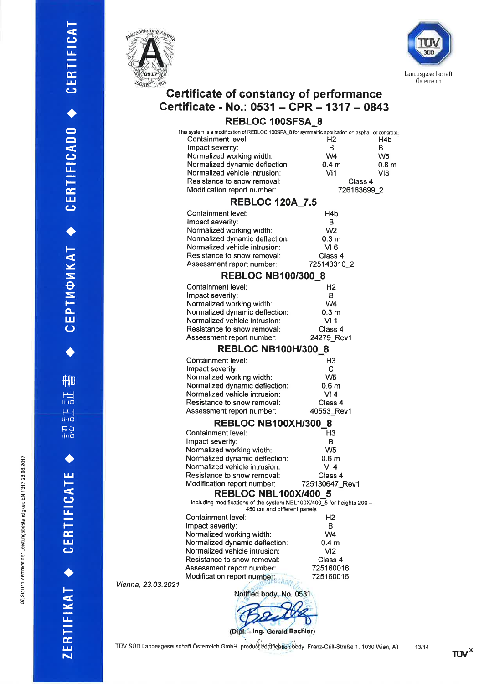

t- (J  $\mathbf{u}_\pm$ 

 $\frac{\alpha}{\Box}$  $\mathbf{\mathsf{c}}$ 

a o  $\blacksquare$ 

 $\ddot{\phantom{0}}$  $\mathbf{u}_-$ Ê É,  $\mathbf{u}$  $\mathbf \omega$ 

a

t-- Y S  $\vec{e}$ S to- ။<br>ပ

a

fll**m** 

r-! rlilo

l<br>lilo

ri<br>Tila

 $\blacklozenge$ 

 $\frac{1}{2}$ 

CJ l¡- F É, t¿J  $\mathbf \omega$ 

 $\blacklozenge$ 

t-

 l¿- F E  $\bf \Xi$ 



# Certificate of constancy of performance Certificate - No.: 0531 - CPR - 1317 - 0843

### REBLOC 100SFSA\_8

| This system is a modification of REBLOC 100SFA_8 for symmetric application on asphalt or concrete |                  |                  |
|---------------------------------------------------------------------------------------------------|------------------|------------------|
| Containment level:                                                                                | H <sub>2</sub>   | H4b              |
| Impact severity:                                                                                  | в                | в                |
| Normalized working width:                                                                         | W4               | W5               |
| Normalized dynamic deflection:                                                                    | 0.4 <sub>m</sub> | 0.8 <sub>m</sub> |
| Normalized vehicle intrusion:                                                                     | VI1              | VI8              |
| Resistance to snow removal:                                                                       |                  | Class 4          |
| Modification report number:                                                                       |                  | 726163699 2      |
|                                                                                                   |                  |                  |

#### REBLOC 120A\_7.5

| Containment level:             | H4b              |
|--------------------------------|------------------|
| Impact severity:               | в                |
| Normalized working width:      | W <sub>2</sub>   |
| Normalized dynamic deflection: | 0.3 <sub>m</sub> |
| Normalized vehicle intrusion:  | VI 6             |
| Resistance to snow removal:    | Class 4          |
| Assessment report number:      | 725143310 2      |
|                                |                  |

#### REBLOC N8100/300\_8

| Containment level:             | H <sub>2</sub>   |
|--------------------------------|------------------|
| Impact severity:               | в                |
| Normalized working width:      | W4               |
| Normalized dynamic deflection: | 0.3 <sub>m</sub> |
| Normalized vehicle intrusion:  | VI <sub>1</sub>  |
| Resistance to snow removal:    | Class 4          |
| Assessment report number:      | 24279 Rev1       |

#### REBLOC NB100H/300\_8

| Containment level:             | H <sub>3</sub>   |
|--------------------------------|------------------|
| Impact severity:               | C                |
| Normalized working width:      | W <sub>5</sub>   |
| Normalized dynamic deflection: | 0.6 <sub>m</sub> |
| Normalized vehicle intrusion:  | VI 4             |
| Resistance to snow removal:    | Class 4          |
| Assessment report number:      | 40553 Rev1       |
|                                |                  |

#### REBLOC NB100XH/300\_8

| Containment level:             | H <sub>3</sub>   |
|--------------------------------|------------------|
| Impact severity:               | в                |
| Normalized working width:      | W <sub>5</sub>   |
| Normalized dynamic deflection: | 0.6 <sub>m</sub> |
| Normalized vehicle intrusion:  | VI 4             |
| Resistance to snow removal:    | Class 4          |
| Modification report number:    | 725130647_Rev1   |
|                                |                  |

#### REBLOC NBLI00X/400\_5

Including modifications of the system NBL100X/400\_5 for heights 200 -<br>450 cm and different panels

| Containment level:             | Н2               |  |
|--------------------------------|------------------|--|
| Impact severity:               | в                |  |
| Normalized working width:      | W4               |  |
| Normalized dynamic deflection: | 0.4 <sub>m</sub> |  |
| Normalized vehicle intrusion:  | VI <sub>2</sub>  |  |
| Resistance to snow removal:    | Class 4          |  |
| Assessment report number:      | 725160016        |  |
| Modification report number.    | 725160016        |  |
|                                |                  |  |

 $V$ ienna, 23.03.2021

Notified body, No. 0531